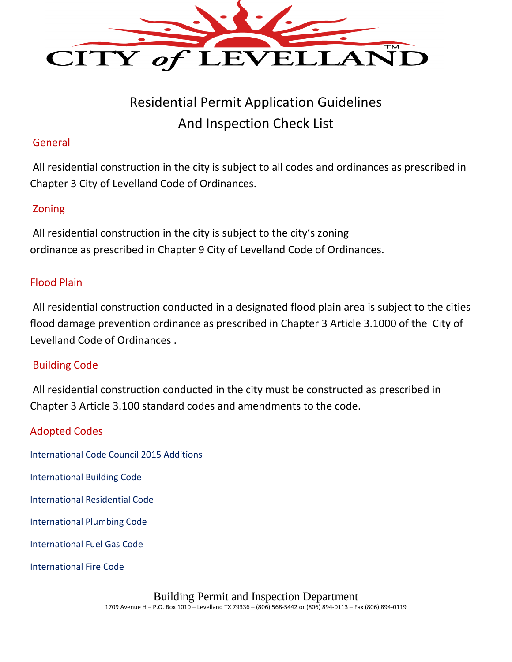

# Residential Permit Application Guidelines And Inspection Check List

#### General

All residential construction in the city is subject to all codes and ordinances as prescribed in Chapter 3 City of Levelland Code of Ordinances.

## Zoning

All residential construction in the city is subject to the city's zoning ordinance as prescribed in Chapter 9 City of Levelland Code of Ordinances.

### Flood Plain

All residential construction conducted in a designated flood plain area is subject to the cities flood damage prevention ordinance as prescribed in Chapter 3 Article 3.1000 of the City of Levelland Code of Ordinances .

### Building Code

All residential construction conducted in the city must be constructed as prescribed in Chapter 3 Article 3.100 standard codes and amendments to the code.

### Adopted Codes

- International Code Council 2015 Additions
- International Building Code
- International Residential Code
- International Plumbing Code
- International Fuel Gas Code
- International Fire Code

Building Permit and Inspection Department

1709 Avenue H – P.O. Box 1010 – Levelland TX 79336 – (806) 568-5442 or (806) 894-0113 – Fax (806) 894-0119